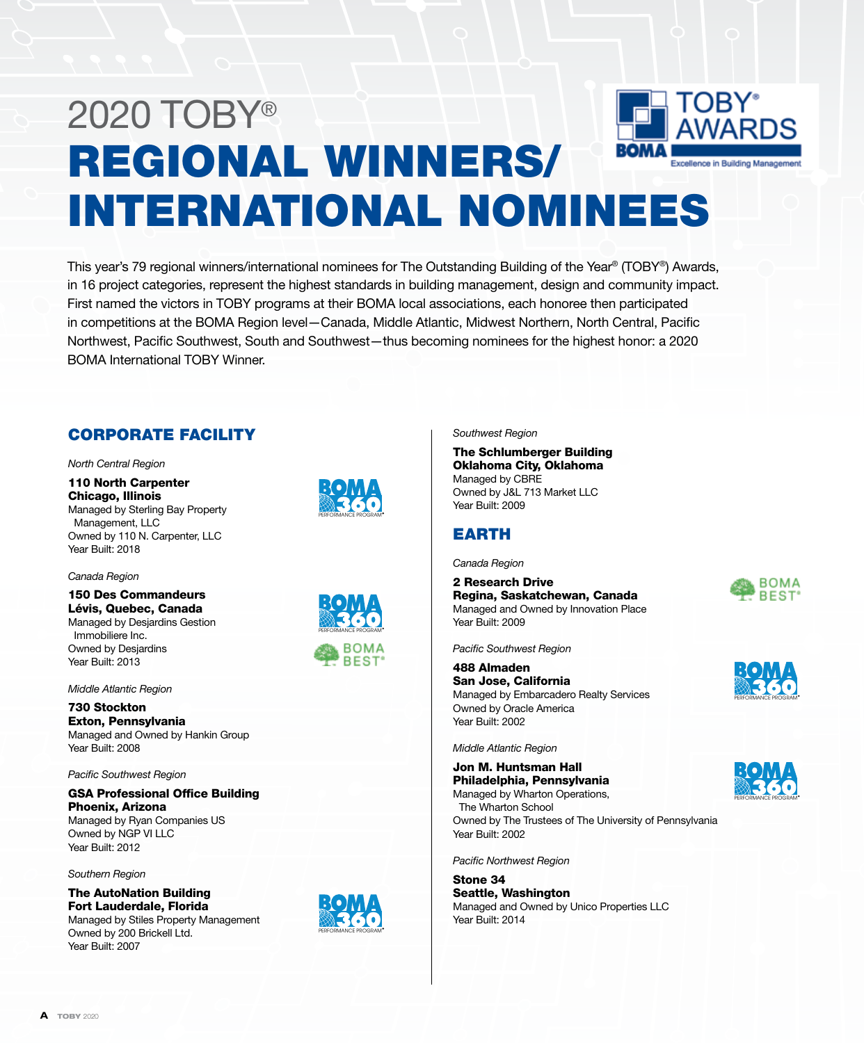# 2020 TOBY® REGIONAL WINNERS/ Excellence in Building Managemen INTERNATIONAL NOMINEES

This year's 79 regional winners/international nominees for The Outstanding Building of the Year® (TOBY®) Awards, in 16 project categories, represent the highest standards in building management, design and community impact. First named the victors in TOBY programs at their BOMA local associations, each honoree then participated in competitions at the BOMA Region level—Canada, Middle Atlantic, Midwest Northern, North Central, Pacific Northwest, Pacific Southwest, South and Southwest—thus becoming nominees for the highest honor: a 2020 BOMA International TOBY Winner.

# CORPORATE FACILITY

*North Central Region*

110 North Carpenter Chicago, Illinois Managed by Sterling Bay Property Management, LLC Owned by 110 N. Carpenter, LLC Year Built: 2018

*Canada Region*

150 Des Commandeurs Lévis, Quebec, Canada Managed by Desjardins Gestion Immobiliere Inc. Owned by Desjardins Year Built: 2013

*Middle Atlantic Region*

730 Stockton Exton, Pennsylvania Managed and Owned by Hankin Group Year Built: 2008

*Pacific Southwest Region*

GSA Professional Office Building Phoenix, Arizona Managed by Ryan Companies US Owned by NGP VI LLC Year Built: 2012

*Southern Region*

The AutoNation Building Fort Lauderdale, Florida

Managed by Stiles Property Management Owned by 200 Brickell Ltd. Year Built: 2007







PERFORMANCE PROGRAM

*Southwest Region*

The Schlumberger Building Oklahoma City, Oklahoma Managed by CBRE Owned by J&L 713 Market LLC Year Built: 2009

### EARTH

*Canada Region*

2 Research Drive Regina, Saskatchewan, Canada Managed and Owned by Innovation Place Year Built: 2009

*Pacific Southwest Region*

488 Almaden San Jose, California Managed by Embarcadero Realty Services Owned by Oracle America Year Built: 2002

*Middle Atlantic Region*

Jon M. Huntsman Hall Philadelphia, Pennsylvania Managed by Wharton Operations, The Wharton School

Owned by The Trustees of The University of Pennsylvania Year Built: 2002

*Pacific Northwest Region*

Stone 34 Seattle, Washington Managed and Owned by Unico Properties LLC Year Built: 2014







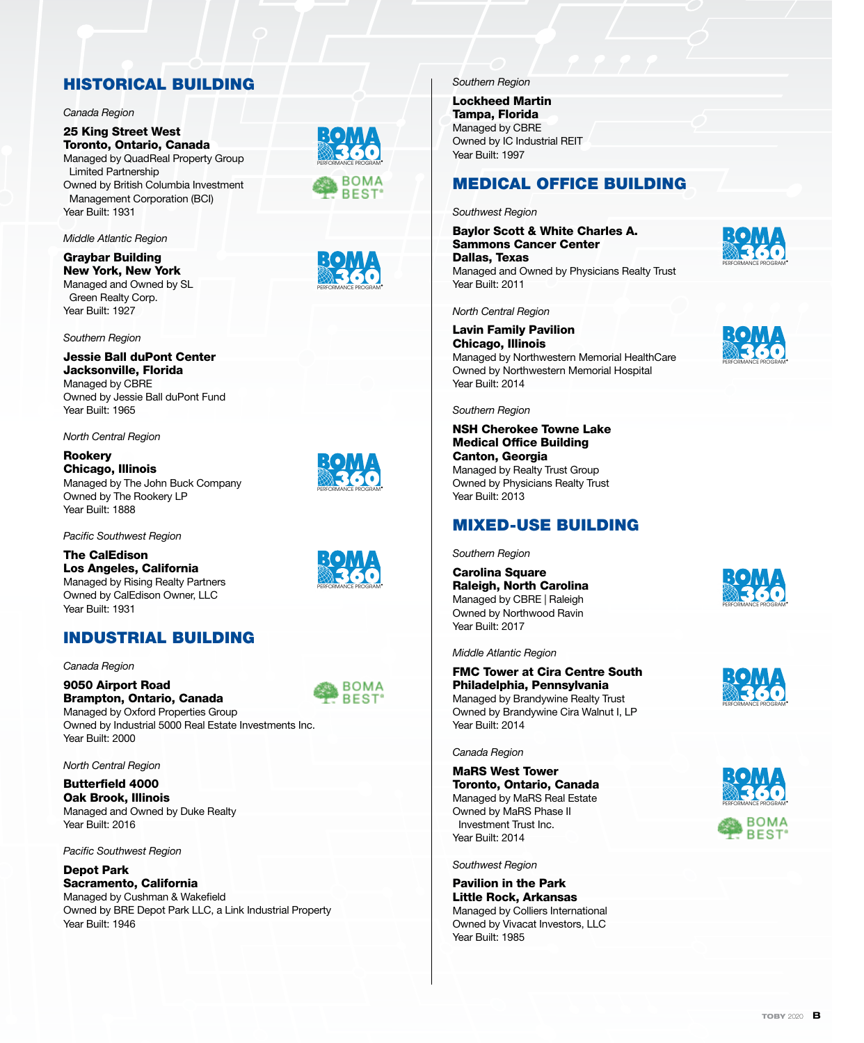# HISTORICAL BUILDING

#### *Canada Region*

25 King Street West Toronto, Ontario, Canada Managed by QuadReal Property Group Limited Partnership Owned by British Columbia Investment Management Corporation (BCI) Year Built: 1931

*Middle Atlantic Region*

Graybar Building New York, New York Managed and Owned by SL Green Realty Corp. Year Built: 1927

*Southern Region*

Jessie Ball duPont Center Jacksonville, Florida Managed by CBRE Owned by Jessie Ball duPont Fund Year Built: 1965

*North Central Region*

Rookery Chicago, Illinois Managed by The John Buck Company Owned by The Rookery LP Year Built: 1888

*Pacific Southwest Region*

The CalEdison Los Angeles, California Managed by Rising Realty Partners Owned by CalEdison Owner, LLC Year Built: 1931

### INDUSTRIAL BUILDING

*Canada Region*

9050 Airport Road Brampton, Ontario, Canada Managed by Oxford Properties Group

Owned by Industrial 5000 Real Estate Investments Inc. Year Built: 2000

*North Central Region*

Butterfield 4000 Oak Brook, Illinois Managed and Owned by Duke Realty Year Built: 2016

*Pacific Southwest Region*

#### Depot Park Sacramento, California Managed by Cushman & Wakefield

Owned by BRE Depot Park LLC, a Link Industrial Property Year Built: 1946







Lockheed Martin Tampa, Florida Managed by CBRE Owned by IC Industrial REIT Year Built: 1997

### MEDICAL OFFICE BUILDING

*Southwest Region*

Baylor Scott & White Charles A. Sammons Cancer Center Dallas, Texas Managed and Owned by Physicians Realty Trust Year Built: 2011

*North Central Region*

Lavin Family Pavilion Chicago, Illinois Managed by Northwestern Memorial HealthCare Owned by Northwestern Memorial Hospital Year Built: 2014

#### *Southern Region*

NSH Cherokee Towne Lake Medical Office Building Canton, Georgia Managed by Realty Trust Group Owned by Physicians Realty Trust Year Built: 2013

### MIXED-USE BUILDING

*Southern Region*

Carolina Square Raleigh, North Carolina Managed by CBRE | Raleigh Owned by Northwood Ravin Year Built: 2017



*Middle Atlantic Region*

FMC Tower at Cira Centre South Philadelphia, Pennsylvania Managed by Brandywine Realty Trust Owned by Brandywine Cira Walnut I, LP Year Built: 2014

*Canada Region*

MaRS West Tower Toronto, Ontario, Canada Managed by MaRS Real Estate Owned by MaRS Phase II Investment Trust Inc. Year Built: 2014

*Southwest Region*

Pavilion in the Park Little Rock, Arkansas Managed by Colliers International Owned by Vivacat Investors, LLC Year Built: 1985













PERFORMANCE PROGRAM

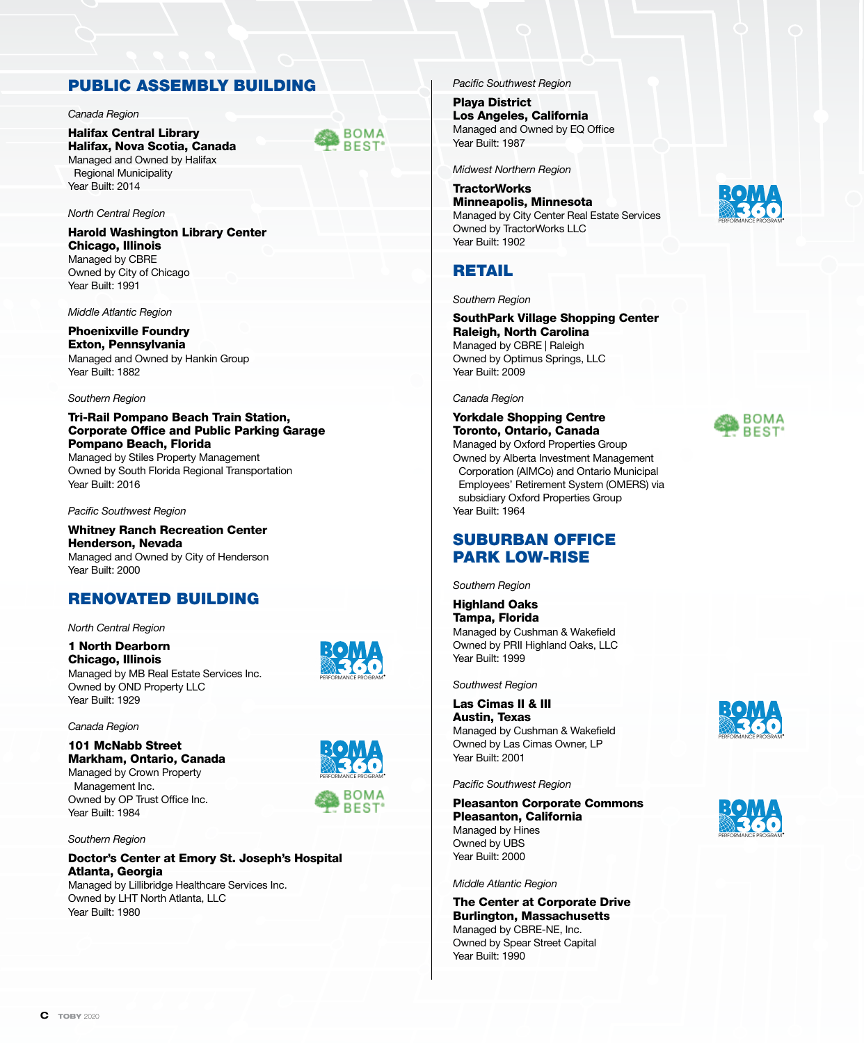### PUBLIC ASSEMBLY BUILDING

#### *Canada Region*

Halifax Central Library Halifax, Nova Scotia, Canada Managed and Owned by Halifax Regional Municipality Year Built: 2014

#### *North Central Region*

Harold Washington Library Center Chicago, Illinois Managed by CBRE Owned by City of Chicago Year Built: 1991

*Middle Atlantic Region*

Phoenixville Foundry Exton, Pennsylvania Managed and Owned by Hankin Group Year Built: 1882

#### *Southern Region*

Tri-Rail Pompano Beach Train Station, Corporate Office and Public Parking Garage Pompano Beach, Florida Managed by Stiles Property Management Owned by South Florida Regional Transportation Year Built: 2016

*Pacific Southwest Region*

Whitney Ranch Recreation Center Henderson, Nevada Managed and Owned by City of Henderson Year Built: 2000

### RENOVATED BUILDING

*North Central Region*

1 North Dearborn Chicago, Illinois Managed by MB Real Estate Services Inc. Owned by OND Property LLC Year Built: 1929

*Canada Region*

#### 101 McNabb Street Markham, Ontario, Canada Managed by Crown Property Management Inc. Owned by OP Trust Office Inc.



PERFORMANCE PROGRAM

**BOMA BEST** 

*Southern Region*

Year Built: 1984

#### Doctor's Center at Emory St. Joseph's Hospital Atlanta, Georgia

Managed by Lillibridge Healthcare Services Inc. Owned by LHT North Atlanta, LLC Year Built: 1980

*Pacific Southwest Region*

Playa District Los Angeles, California Managed and Owned by EQ Office Year Built: 1987

*Midwest Northern Region*

#### **TractorWorks** Minneapolis, Minnesota

Managed by City Center Real Estate Services Owned by TractorWorks LLC Year Built: 1902

### **RETAIL**

#### *Southern Region*

SouthPark Village Shopping Center Raleigh, North Carolina Managed by CBRE | Raleigh Owned by Optimus Springs, LLC Year Built: 2009

#### *Canada Region*

#### Yorkdale Shopping Centre Toronto, Ontario, Canada

Managed by Oxford Properties Group Owned by Alberta Investment Management Corporation (AIMCo) and Ontario Municipal Employees' Retirement System (OMERS) via subsidiary Oxford Properties Group Year Built: 1964

### SUBURBAN OFFICE PARK LOW-RISE

*Southern Region*

Highland Oaks Tampa, Florida Managed by Cushman & Wakefield Owned by PRII Highland Oaks, LLC Year Built: 1999

*Southwest Region*

Las Cimas II & III Austin, Texas Managed by Cushman & Wakefield Owned by Las Cimas Owner, LP Year Built: 2001

#### *Pacific Southwest Region*

Pleasanton Corporate Commons Pleasanton, California Managed by Hines Owned by UBS Year Built: 2000

*Middle Atlantic Region*

The Center at Corporate Drive Burlington, Massachusetts Managed by CBRE-NE, Inc. Owned by Spear Street Capital Year Built: 1990







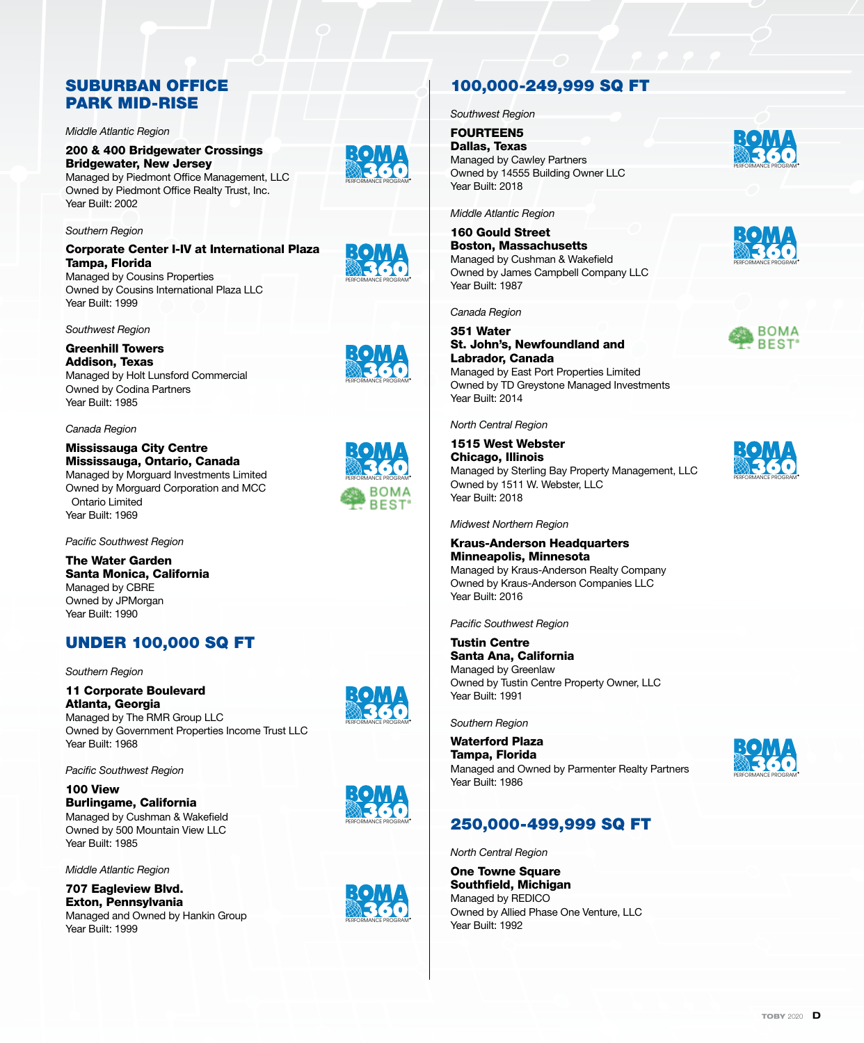### SUBURBAN OFFICE PARK MID-RISE

*Middle Atlantic Region*

### 200 & 400 Bridgewater Crossings Bridgewater, New Jersey

Managed by Piedmont Office Management, LLC Owned by Piedmont Office Realty Trust, Inc. Year Built: 2002

*Southern Region*

#### Corporate Center I-IV at International Plaza Tampa, Florida

Managed by Cousins Properties Owned by Cousins International Plaza LLC Year Built: 1999

*Southwest Region*

#### Greenhill Towers Addison, Texas Managed by Holt Lunsford Commercial Owned by Codina Partners Year Built: 1985

*Canada Region*

#### Mississauga City Centre Mississauga, Ontario, Canada Managed by Morguard Investments Limited Owned by Morguard Corporation and MCC Ontario Limited Year Built: 1969

*Pacific Southwest Region*

#### The Water Garden Santa Monica, California Managed by CBRE Owned by JPMorgan Year Built: 1990

# UNDER 100,000 SQ FT

*Southern Region*

11 Corporate Boulevard Atlanta, Georgia Managed by The RMR Group LLC Owned by Government Properties Income Trust LLC Year Built: 1968

*Pacific Southwest Region*

100 View Burlingame, California Managed by Cushman & Wakefield Owned by 500 Mountain View LLC Year Built: 1985

*Middle Atlantic Region*

707 Eagleview Blvd. Exton, Pennsylvania Managed and Owned by Hankin Group Year Built: 1999



PERFORMANCE PROGRAM



# 100,000-249,999 SQ FT

*Southwest Region*

FOURTEEN5 Dallas, Texas Managed by Cawley Partners Owned by 14555 Building Owner LLC Year Built: 2018

*Middle Atlantic Region*

160 Gould Street Boston, Massachusetts Managed by Cushman & Wakefield Owned by James Campbell Company LLC Year Built: 1987

*Canada Region*

#### 351 Water St. John's, Newfoundland and Labrador, Canada Managed by East Port Properties Limited Owned by TD Greystone Managed Investments Year Built: 2014

*North Central Region*

1515 West Webster Chicago, Illinois Managed by Sterling Bay Property Management, LLC Owned by 1511 W. Webster, LLC Year Built: 2018

*Midwest Northern Region*

### Kraus-Anderson Headquarters Minneapolis, Minnesota

Managed by Kraus-Anderson Realty Company Owned by Kraus-Anderson Companies LLC Year Built: 2016

*Pacific Southwest Region*

Tustin Centre Santa Ana, California Managed by Greenlaw Owned by Tustin Centre Property Owner, LLC Year Built: 1991

*Southern Region*

Waterford Plaza Tampa, Florida Managed and Owned by Parmenter Realty Partners Year Built: 1986

## 250,000-499,999 SQ FT

*North Central Region*

One Towne Square Southfield, Michigan Managed by REDICO Owned by Allied Phase One Venture, LLC Year Built: 1992













BOMA **BEST** 

PERFORMANCE PROGRAM

PERFORMANCE PROGRAM

PERFORMANCE PROGRAM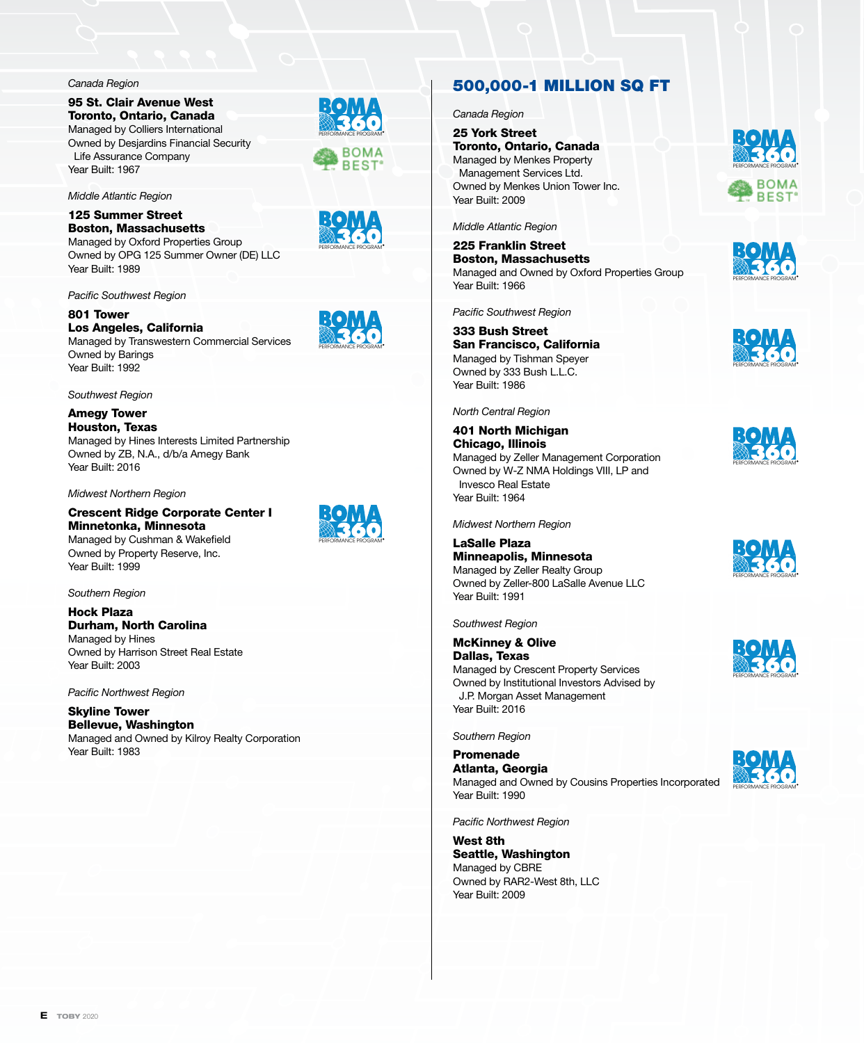*Canada Region*

95 St. Clair Avenue West Toronto, Ontario, Canada Managed by Colliers International Owned by Desjardins Financial Security Life Assurance Company Year Built: 1967

*Middle Atlantic Region*

125 Summer Street Boston, Massachusetts Managed by Oxford Properties Group Owned by OPG 125 Summer Owner (DE) LLC Year Built: 1989

*Pacific Southwest Region*

801 Tower Los Angeles, California Managed by Transwestern Commercial Services Owned by Barings Year Built: 1992

*Southwest Region*

Amegy Tower Houston, Texas Managed by Hines Interests Limited Partnership Owned by ZB, N.A., d/b/a Amegy Bank Year Built: 2016

*Midwest Northern Region*

Crescent Ridge Corporate Center I Minnetonka, Minnesota Managed by Cushman & Wakefield

Owned by Property Reserve, Inc. Year Built: 1999

*Southern Region*

Hock Plaza Durham, North Carolina Managed by Hines Owned by Harrison Street Real Estate Year Built: 2003

*Pacific Northwest Region*

Skyline Tower Bellevue, Washington Managed and Owned by Kilroy Realty Corporation Year Built: 1983





PERFORMANCE PROGRAM

PERFORMANCE PROGRAM



*Canada Region*

25 York Street Toronto, Ontario, Canada Managed by Menkes Property Management Services Ltd. Owned by Menkes Union Tower Inc. Year Built: 2009



*Middle Atlantic Region*

225 Franklin Street Boston, Massachusetts Managed and Owned by Oxford Properties Group Year Built: 1966

*Pacific Southwest Region*

333 Bush Street San Francisco, California Managed by Tishman Speyer Owned by 333 Bush L.L.C. Year Built: 1986

*North Central Region*

401 North Michigan Chicago, Illinois Managed by Zeller Management Corporation Owned by W-Z NMA Holdings VIII, LP and Invesco Real Estate Year Built: 1964

*Midwest Northern Region*

LaSalle Plaza Minneapolis, Minnesota Managed by Zeller Realty Group Owned by Zeller-800 LaSalle Avenue LLC Year Built: 1991

*Southwest Region*

McKinney & Olive

Dallas, Texas Managed by Crescent Property Services Owned by Institutional Investors Advised by J.P. Morgan Asset Management Year Built: 2016

*Southern Region*

Promenade Atlanta, Georgia Managed and Owned by Cousins Properties Incorporated Year Built: 1990

*Pacific Northwest Region*

West 8th Seattle, Washington Managed by CBRE Owned by RAR2-West 8th, LLC Year Built: 2009